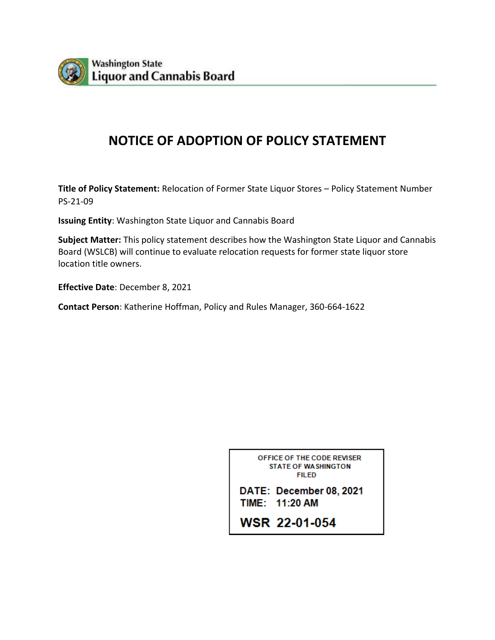

# **NOTICE OF ADOPTION OF POLICY STATEMENT**

**Title of Policy Statement:** Relocation of Former State Liquor Stores – Policy Statement Number PS-21-09

**Issuing Entity**: Washington State Liquor and Cannabis Board

**Subject Matter:** This policy statement describes how the Washington State Liquor and Cannabis Board (WSLCB) will continue to evaluate relocation requests for former state liquor store location title owners.

**Effective Date**: December 8, 2021

**Contact Person**: Katherine Hoffman, Policy and Rules Manager, 360-664-1622

OFFICE OF THE CODE REVISER **STATE OF WASHINGTON FILED** 

DATE: December 08, 2021 TIME: 11:20 AM

**WSR 22-01-054**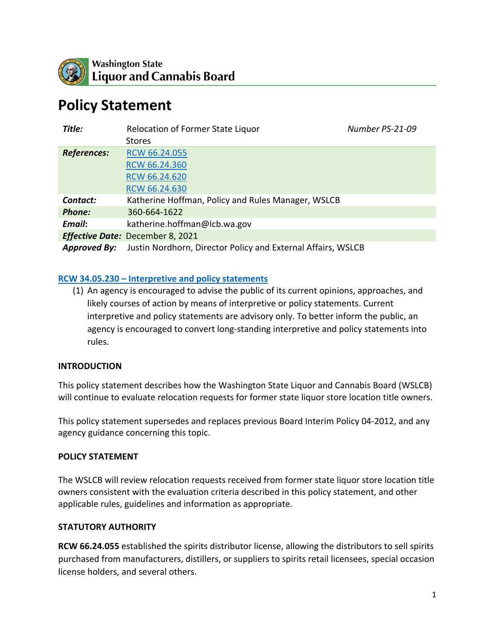

# **Policy Statement**

| Title:                                  | Relocation of Former State Liquor<br><b>Stores</b>           | Number PS-21-09 |
|-----------------------------------------|--------------------------------------------------------------|-----------------|
| <b>References:</b>                      | RCW 66.24.055                                                |                 |
|                                         | RCW 66.24.360                                                |                 |
|                                         | RCW 66.24.620                                                |                 |
|                                         | RCW 66.24.630                                                |                 |
| Contact:                                | Katherine Hoffman, Policy and Rules Manager, WSLCB           |                 |
| <b>Phone:</b>                           | 360-664-1622                                                 |                 |
| Email:                                  | katherine.hoffman@lcb.wa.gov                                 |                 |
| <b>Effective Date: December 8, 2021</b> |                                                              |                 |
| <b>Approved By:</b>                     | Justin Nordhorn, Director Policy and External Affairs, WSLCB |                 |

### **RCW 34.05.230 – [Interpretive and policy statements](https://app.leg.wa.gov/rcw/default.aspx?cite=34.05.230)**

(1) An agency is encouraged to advise the public of its current opinions, approaches, and likely courses of action by means of interpretive or policy statements. Current interpretive and policy statements are advisory only. To better inform the public, an agency is encouraged to convert long-standing interpretive and policy statements into rules.

#### **INTRODUCTION**

This policy statement describes how the Washington State Liquor and Cannabis Board (WSLCB) will continue to evaluate relocation requests for former state liquor store location title owners.

This policy statement supersedes and replaces previous Board Interim Policy 04-2012, and any agency guidance concerning this topic.

#### **POLICY STATEMENT**

The WSLCB will review relocation requests received from former state liquor store location title owners consistent with the evaluation criteria described in this policy statement, and other applicable rules, guidelines and information as appropriate.

#### **STATUTORY AUTHORITY**

**RCW 66.24.055** established the spirits distributor license, allowing the distributors to sell spirits purchased from manufacturers, distillers, or suppliers to spirits retail licensees, special occasion license holders, and several others.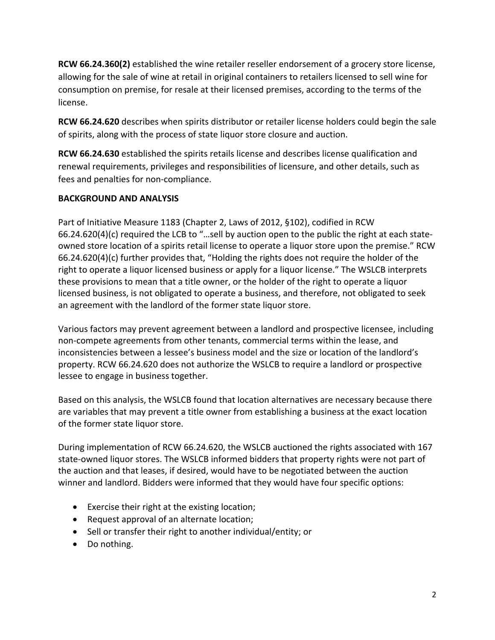**RCW 66.24.360(2)** established the wine retailer reseller endorsement of a grocery store license, allowing for the sale of wine at retail in original containers to retailers licensed to sell wine for consumption on premise, for resale at their licensed premises, according to the terms of the license.

**RCW 66.24.620** describes when spirits distributor or retailer license holders could begin the sale of spirits, along with the process of state liquor store closure and auction.

**RCW 66.24.630** established the spirits retails license and describes license qualification and renewal requirements, privileges and responsibilities of licensure, and other details, such as fees and penalties for non-compliance.

# **BACKGROUND AND ANALYSIS**

Part of Initiative Measure 1183 (Chapter 2, Laws of 2012, §102), codified in RCW 66.24.620(4)(c) required the LCB to "…sell by auction open to the public the right at each stateowned store location of a spirits retail license to operate a liquor store upon the premise." RCW 66.24.620(4)(c) further provides that, "Holding the rights does not require the holder of the right to operate a liquor licensed business or apply for a liquor license." The WSLCB interprets these provisions to mean that a title owner, or the holder of the right to operate a liquor licensed business, is not obligated to operate a business, and therefore, not obligated to seek an agreement with the landlord of the former state liquor store.

Various factors may prevent agreement between a landlord and prospective licensee, including non-compete agreements from other tenants, commercial terms within the lease, and inconsistencies between a lessee's business model and the size or location of the landlord's property. RCW 66.24.620 does not authorize the WSLCB to require a landlord or prospective lessee to engage in business together.

Based on this analysis, the WSLCB found that location alternatives are necessary because there are variables that may prevent a title owner from establishing a business at the exact location of the former state liquor store.

During implementation of RCW 66.24.620, the WSLCB auctioned the rights associated with 167 state-owned liquor stores. The WSLCB informed bidders that property rights were not part of the auction and that leases, if desired, would have to be negotiated between the auction winner and landlord. Bidders were informed that they would have four specific options:

- Exercise their right at the existing location;
- Request approval of an alternate location;
- Sell or transfer their right to another individual/entity; or
- Do nothing.